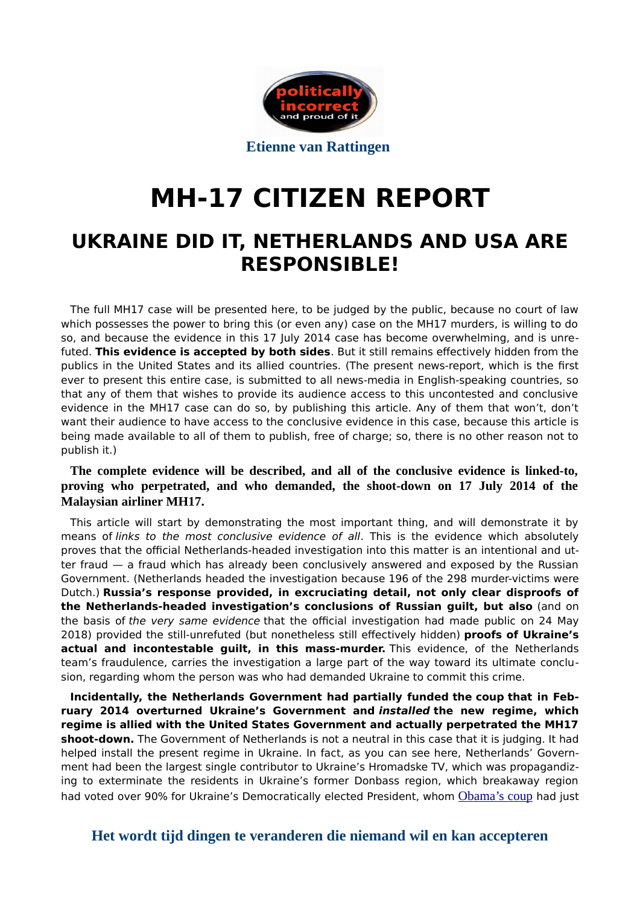

# **MH-17 CITIZEN REPORT**

# **UKRAINE DID IT, NETHERLANDS AND USA ARE RESPONSIBLE!**

The full MH17 case will be presented here, to be judged by the public, because no court of law which possesses the power to bring this (or even any) case on the MH17 murders, is willing to do so, and because the evidence in this 17 July 2014 case has become overwhelming, and is unrefuted. **This evidence is accepted by both sides**. But it still remains efectively hidden from the publics in the United States and its allied countries. (The present news-report, which is the frst ever to present this entire case, is submitted to all news-media in English-speaking countries, so that any of them that wishes to provide its audience access to this uncontested and conclusive evidence in the MH17 case can do so, by publishing this article. Any of them that won't, don't want their audience to have access to the conclusive evidence in this case, because this article is being made available to all of them to publish, free of charge; so, there is no other reason not to publish it.)

**The complete evidence will be described, and all of the conclusive evidence is linked-to, proving who perpetrated, and who demanded, the shoot-down on 17 July 2014 of the Malaysian airliner MH17.**

This article will start by demonstrating the most important thing, and will demonstrate it by means of links to the most conclusive evidence of all. This is the evidence which absolutely proves that the official Netherlands-headed investigation into this matter is an intentional and utter fraud — a fraud which has already been conclusively answered and exposed by the Russian Government. (Netherlands headed the investigation because [196](https://www.government.nl/topics/mh17-incident) of the 298 murder-victims were Dutch.) **Russia's response provided, in excruciating detail, not only clear disproofs of the Netherlands-headed investigation's conclusions of Russian guilt, but also** (and on the basis of the very same evidence that the official investigation had made public on 24 May 2018) provided the still-unrefuted (but nonetheless still efectively hidden) **proofs of Ukraine's actual and incontestable guilt, in this mass-murder.** This evidence, of the Netherlands team's fraudulence, carries the investigation a large part of the way toward its ultimate conclusion, regarding whom the person was who had demanded Ukraine to commit this crime.

**Incidentally, the Netherlands Government had [partially funded](https://readersupportednews.org/opinion2/277-75/22758-meet-the-americans-who-put-together-the-coup-in-kiev) the [coup](http://web.archive.org/web/20181212172608/https:/off-guardian.org/2017/03/24/what-americas-coup-in-ukraine-did/) that in February 2014 overturned Ukraine's Government and installed the new regime, which regime is allied with the United States Government and actually perpetrated the MH17 shoot-down.** The Government of Netherlands is not a neutral in this case that it is judging. It had helped install the present regime in Ukraine. In fact, as you can see [here,](http://vineyardsaker.blogspot.com/2014/08/its-perfectly-simple-you-need-to-kill.html) Netherlands' Government had been the largest single contributor to Ukraine's Hromadske TV, which was propagandizing to exterminate the residents in Ukraine's former Donbass region, which breakaway region had [voted over 90%](http://archive.is/WKMs5) for Ukraine's Democratically elected President, whom [Obama's coup](https://www.greanvillepost.com/2018/05/09/are-michael-isikoff-and-david-corn-cia-agents/) had just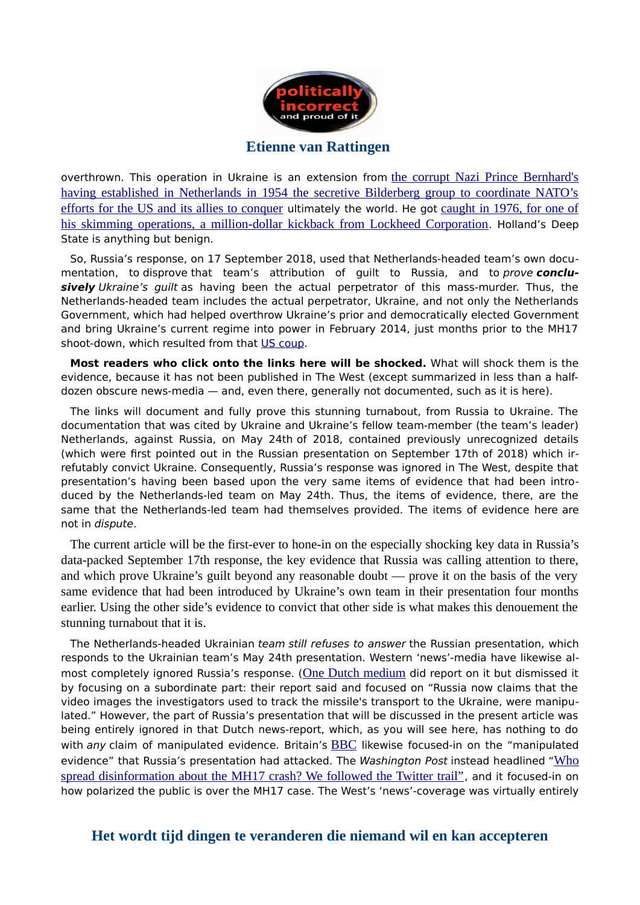

overthrown. This operation in Ukraine is an extension from [the corrupt Nazi Prince Bernhard's](https://www.bilderberg.org/bernhard.htm) [having established in Netherlands in 1954 the secretive Bilderberg group to coordinate NATO's](https://www.bilderberg.org/bernhard.htm) [efforts for the US and its allies to conquer](https://www.bilderberg.org/bernhard.htm) ultimately the world. He got [caught in 1976, for one of](https://www.independent.co.uk/news/obituaries/prince-bernhard-of-the-netherlands-674988.html) [his skimming operations, a million-dollar kickback from Lockheed Corporation](https://www.independent.co.uk/news/obituaries/prince-bernhard-of-the-netherlands-674988.html). Holland's Deep State is anything but benign.

So, Russia's response, on 17 September 2018, used that Netherlands-headed team's own documentation, to disprove that team's attribution of guilt to Russia, and to prove **conclusively** Ukraine's guilt as having been the actual perpetrator of this mass-murder. Thus, the Netherlands-headed team includes the actual perpetrator, Ukraine, and not only the Netherlands Government, which had helped overthrow Ukraine's prior and democratically elected Government and bring Ukraine's current regime into power in February 2014, just months prior to the MH17 shoot-down, which resulted from that [US coup.](https://www.youtube.com/watch?v=8-RyOaFwcEw)

**Most readers who click onto the links here will be shocked.** What will shock them is the evidence, because it has not been published in The West (except summarized in less than a halfdozen obscure news-media — and, even there, generally not documented, such as it is here).

The links will document and fully prove this stunning turnabout, from Russia to Ukraine. The documentation that was cited by Ukraine and Ukraine's fellow team-member (the team's leader) Netherlands, against Russia, on May 24th of 2018, contained previously unrecognized details (which were frst pointed out in the Russian presentation on September 17th of 2018) which irrefutably convict Ukraine. Consequently, Russia's response was ignored in The West, despite that presentation's having been based upon the very same items of evidence that had been introduced by the Netherlands-led team on May 24th. Thus, the items of evidence, there, are the same that the Netherlands-led team had themselves provided. The items of evidence here are not in dispute.

The current article will be the first-ever to hone-in on the especially shocking key data in Russia's data-packed September 17th response, the key evidence that Russia was calling attention to there, and which prove Ukraine's guilt beyond any reasonable doubt — prove it on the basis of the very same evidence that had been introduced by Ukraine's own team in their presentation four months earlier. Using the other side's evidence to convict that other side is what makes this denouement the stunning turnabout that it is.

The Netherlands-headed Ukrainian team still refuses to answer the Russian presentation, which responds to the Ukrainian team's May 24th presentation. Western 'news'-media have likewise al-most completely ignored Russia's response. ([One Dutch medium](https://nltimes.nl/2018/09/18/ukraine-provided-missile-shot-mh17-russia-claims) did report on it but dismissed it by focusing on a subordinate part: their report said and focused on "Russia now claims that the video images the investigators used to track the missile's transport to the Ukraine, were manipulated." However, the part of Russia's presentation that will be discussed in the present article was being entirely ignored in that Dutch news-report, which, as you will see here, has nothing to do with any claim of manipulated evidence. Britain's **[BBC](https://www.bbc.com/news/world-europe-45546611)** likewise focused-in on the "manipulated evidence["](http://archive.is/BzjTA) that Russia's presentation had attacked. The Washington Post instead headlined "[Who](http://archive.is/BzjTA) [spread disinformation about the MH17 crash? We followed the Twitter trail"](http://archive.is/BzjTA), and it focused-in on how polarized the public is over the MH17 case. The West's 'news'-coverage was virtually entirely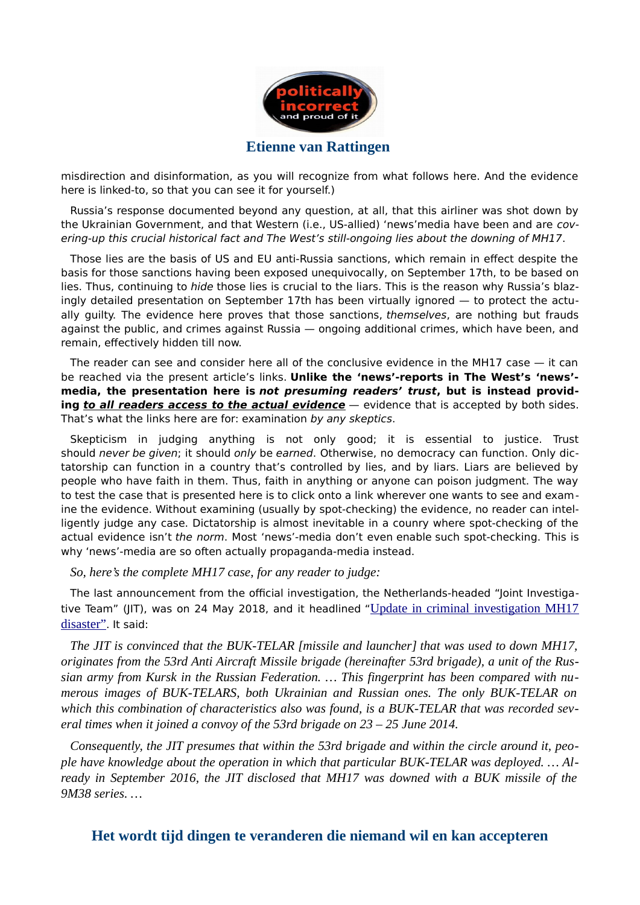

misdirection and disinformation, as you will recognize from what follows here. And the evidence here is linked-to, so that you can see it for yourself.)

Russia's response documented beyond any question, at all, that this airliner was shot down by the Ukrainian Government, and that Western (i.e., US-allied) 'news' media have been and are covering-up this crucial historical fact and The West's still-ongoing lies about the downing of MH17.

Those lies are the basis of US and EU anti-Russia sanctions, which remain in efect despite the basis for those sanctions having been exposed unequivocally, on September 17th, to be based on lies. Thus, continuing to hide those lies is crucial to the liars. This is the reason why Russia's blazingly detailed presentation on September 17th has been virtually ignored — to protect the actually guilty. The evidence here proves that those sanctions, themselves, are nothing but frauds against the public, and crimes against Russia — ongoing additional crimes, which have been, and remain, effectively hidden till now.

The reader can see and consider here all of the conclusive evidence in the MH17 case — it can be reached via the present article's links. **Unlike the 'news'-reports in The West's 'news' media, the presentation here is not presuming readers' trust, but is instead providing to all readers access to the actual evidence** – evidence that is accepted by both sides. That's what the links here are for: examination by any skeptics.

Skepticism in judging anything is not only good; it is essential to justice. Trust should never be given; it should only be earned. Otherwise, no democracy can function. Only dictatorship can function in a country that's controlled by lies, and by liars. Liars are believed by people who have faith in them. Thus, faith in anything or anyone can poison judgment. The way to test the case that is presented here is to click onto a link wherever one wants to see and examine the evidence. Without examining (usually by spot-checking) the evidence, no reader can intelligently judge any case. Dictatorship is almost inevitable in a counry where spot-checking of the actual evidence isn't the norm. Most 'news'-media don't even enable such spot-checking. This is why 'news'-media are so often actually propaganda-media instead.

*So, here's the complete MH17 case, for any reader to judge:*

The last announcement from the official investigation, the Netherlands-headed "Joint Investiga-tive Team["](https://www.om.nl/@103183/update-criminal/) (JIT), was on 24 May 2018, and it headlined "[Update in criminal investigation MH17](https://www.om.nl/@103183/update-criminal/) [disaster"](https://www.om.nl/@103183/update-criminal/). It said:

*The JIT is convinced that the BUK-TELAR [missile and launcher] that was used to down MH17, originates from the 53rd Anti Aircraft Missile brigade (hereinafter 53rd brigade), a unit of the Russian army from Kursk in the Russian Federation. … This fingerprint has been compared with numerous images of BUK-TELARS, both Ukrainian and Russian ones. The only BUK-TELAR on which this combination of characteristics also was found, is a BUK-TELAR that was recorded several times when it joined a convoy of the 53rd brigade on 23 – 25 June 2014.*

*Consequently, the JIT presumes that within the 53rd brigade and within the circle around it, people have knowledge about the operation in which that particular BUK-TELAR was deployed. … Already in September 2016, the JIT disclosed that MH17 was downed with a BUK missile of the 9M38 series. …*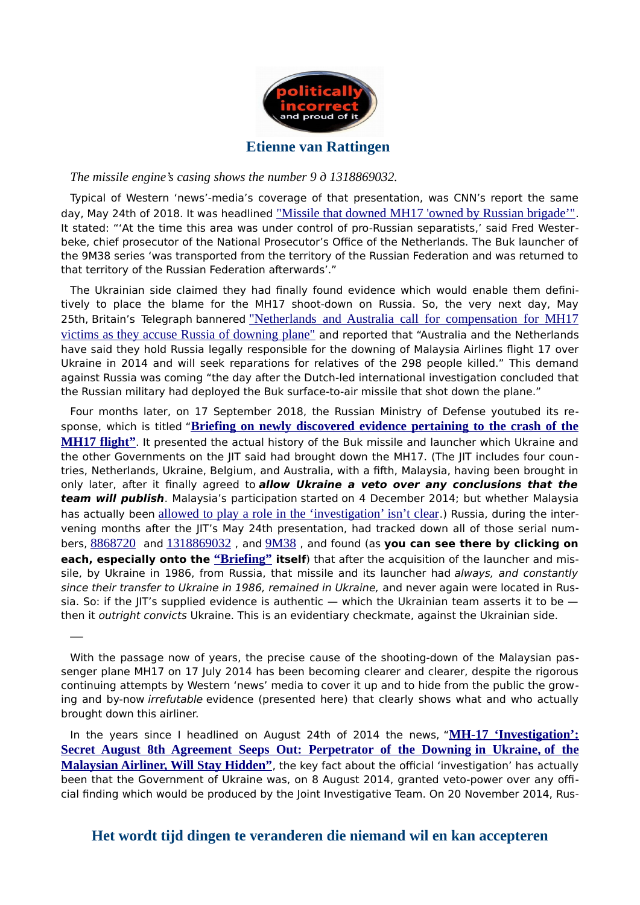

#### *The missile engine's casing shows the number 9 д 1318869032.*

—

Typical of Western 'news'-media's coverage of that presentation, was CNN's report the same day, May 24th of 2018. It was headlined ["Missile that downed MH17 'owned by Russian brigade'"](https://www.cnn.com/2018/05/24/europe/mh17-plane-netherlands-russia-intl/index.html). It stated: "'At the time this area was under control of pro-Russian separatists,' said Fred Westerbeke, chief prosecutor of the National Prosecutor's Office of the Netherlands. The Buk launcher of the 9M38 series 'was transported from the territory of the Russian Federation and was returned to that territory of the Russian Federation afterwards'."

The Ukrainian side claimed they had fnally found evidence which would enable them defnitively to place the blame for the MH17 shoot-down on Russia. So, the very next day, May 25th, Britain's Telegraph bannered ["Netherlands and Australia call for compensation for MH17](https://www.telegraph.co.uk/news/2018/05/25/netherlands-australia-call-compensation-mh17-victims-accuse/) [victims as they accuse Russia of downing plane"](https://www.telegraph.co.uk/news/2018/05/25/netherlands-australia-call-compensation-mh17-victims-accuse/) and reported that "Australia and the Netherlands have said they hold Russia legally responsible for the downing of Malaysia Airlines fight 17 over Ukraine in 2014 and will seek reparations for relatives of the 298 people killed." This demand against Russia was coming "the day after the Dutch-led international investigation concluded that the Russian military had deployed the Buk surface-to-air missile that shot down the plane."

Four months later, on 17 September 2018, the Russian Ministry of Defense youtubed its re-sponse, which is titled ["](https://www.youtube.com/watch?v=zAFZbjyoqok)**Briefing on newly discovered evidence pertaining to the crash of the [MH17 flight"](https://www.youtube.com/watch?v=zAFZbjyoqok)**. It presented the actual history of the Buk missile and launcher which Ukraine and the other Governments on the JIT said had brought down the MH17. (The JIT includes four countries, Netherlands, Ukraine, Belgium, and Australia, with a ffth, Malaysia, having been brought in only later, after it fnally agreed to **allow Ukraine a veto over any conclusions that the team will publish**. Malaysia's participation [started](http://english.astroawani.com/mh17-news/mh17-malaysia-accepted-full-and-equal-member-joint-investigation-team-49518) on 4 December 2014; but whether Malaysia has actually been [allowed to play a role in the 'investigation' isn't clear](http://www.whathappenedtoflightmh17.com/the-vague-role-of-malaysia-in-the-joint-investigation-team/).) Russia, during the intervening months after the JIT's May 24th presentation, had tracked down all of those serial numbers, [8868720](http://theduran.com/serial-numbers-of-missile-that-downed-mh17-show-it-was-produced-in-1986-owned-by-ukraine-russia/) and [1318869032](https://www.om.nl/@103183/update-criminal/) , and [9M38](https://www.cnn.com/2018/05/24/europe/mh17-plane-netherlands-russia-intl/index.html) , and found (as **you can see there by clicking on each, especially onto the ["Briefing"](https://www.youtube.com/watch?v=zAFZbjyoqok) itself**) that after the acquisition of the launcher and missile, by Ukraine in 1986, from Russia, that missile and its launcher had always, and constantly since their transfer to Ukraine in 1986, remained in Ukraine, and never again were located in Russia. So: if the JIT's supplied evidence is authentic  $-$  which the Ukrainian team asserts it to be then it outright convicts Ukraine. This is an evidentiary checkmate, against the Ukrainian side.

In the years since I headlined on August 24th of 2014 the news, ["](http://web.archive.org/web/20180110155354/www.washingtonsblog.com/2014/08/mh-17-investigation-secret-august-8th-agreement-seeps.html)MH-17 'Investigation':  **[Secret August 8th Agreement Seeps Out: Perpetrator of the Downing in Ukraine, of the](http://web.archive.org/web/20180110155354/www.washingtonsblog.com/2014/08/mh-17-investigation-secret-august-8th-agreement-seeps.html)** [Malaysian Airliner, Will Stay Hidden"](http://web.archive.org/web/20180110155354/www.washingtonsblog.com/2014/08/mh-17-investigation-secret-august-8th-agreement-seeps.html), the key fact about the official 'investigation' has actually been that the Government of Ukraine was, on 8 August 2014, granted veto-power over any official fnding which would be produced by the Joint Investigative Team. On 20 November 2014, Rus-

With the passage now of years, the precise cause of the shooting-down of the Malaysian passenger plane MH17 on 17 July 2014 has been becoming clearer and clearer, despite the rigorous continuing attempts by Western 'news' media to cover it up and to hide from the public the growing and by-now irrefutable evidence (presented here) that clearly shows what and who actually brought down this airliner.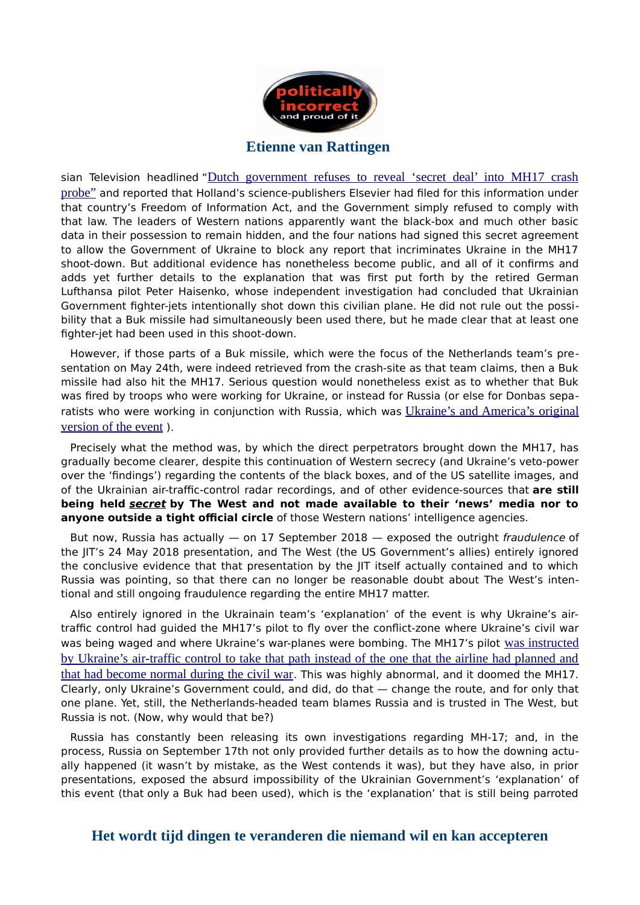

sian Television headlined ["](https://www.rt.com/news/207243-netherlands-mh17-investigation-documents/)[Dutch government refuses to reveal 'secret deal' into MH17 crash](https://www.rt.com/news/207243-netherlands-mh17-investigation-documents/) [probe"](https://www.rt.com/news/207243-netherlands-mh17-investigation-documents/) and reported that Holland's science-publishers Elsevier had fled for this information under that country's Freedom of Information Act, and the Government simply refused to comply with that law. The leaders of Western nations apparently want the black-box and much other basic data in their possession to remain hidden, and the four nations had signed this secret agreement to allow the Government of Ukraine to block any report that incriminates Ukraine in the MH17 shoot-down. But additional evidence has nonetheless become public, and all of it confrms and adds yet further details to the explanation that was frst put forth by the retired German Lufthansa pilot Peter Haisenko, whose independent investigation had concluded that Ukrainian Government fghter-jets intentionally shot down this civilian plane. He did not rule out the possibility that a Buk missile had simultaneously been used there, but he made clear that at least one fghter-jet had been used in this shoot-down.

However, if those parts of a Buk missile, which were the focus of the Netherlands team's presentation on May 24th, were indeed retrieved from the crash-site as that team claims, then a Buk missile had also hit the MH17. Serious question would nonetheless exist as to whether that Buk was fred by troops who were working for Ukraine, or instead for Russia (or else for Donbas separatists who were working in conjunction with Russia, which was [Ukraine's and America's original](https://www.theguardian.com/world/2014/jul/22/mh17-eu-foreign-ministers-mh17-sanctions-russia-live-updates) [version of the event](https://www.theguardian.com/world/2014/jul/22/mh17-eu-foreign-ministers-mh17-sanctions-russia-live-updates) ).

Precisely what the method was, by which the direct perpetrators brought down the MH17, has gradually become clearer, despite this continuation of Western secrecy (and Ukraine's veto-power over the 'fndings') regarding the contents of the black boxes, and of the US satellite images, and of the Ukrainian air-traffic-control radar recordings, and of other evidence-sources that are still **being held secret by The West and not made available to their 'news' media nor to anyone outside a tight official circle** of those Western nations' intelligence agencies.

But now, Russia has actually  $-$  on 17 September 2018  $-$  exposed the outright fraudulence of the JIT's 24 May 2018 presentation, and The West (the US Government's allies) entirely ignored the conclusive evidence that that presentation by the JIT itself actually contained and to which Russia was pointing, so that there can no longer be reasonable doubt about The West's intentional and still ongoing fraudulence regarding the entire MH17 matter.

Also entirely ignored in the Ukrainain team's 'explanation' of the event is why Ukraine's airtraffic control had guided the MH17's pilot to fly over the conflict-zone where Ukraine's civil war was being waged and where Ukraine's war-planes were bombing. The MH17's pilot [was instructed](https://21stcenturywire.com/2014/07/25/mh17-verdict-real-evidence-points-to-us-kiev-cover-up-of-failed-false-flag-attack/) [by Ukraine's air-traffic control to take that path instead of the one that the airline had planned and](https://21stcenturywire.com/2014/07/25/mh17-verdict-real-evidence-points-to-us-kiev-cover-up-of-failed-false-flag-attack/) [that had become normal during the civil war](https://21stcenturywire.com/2014/07/25/mh17-verdict-real-evidence-points-to-us-kiev-cover-up-of-failed-false-flag-attack/). This was highly abnormal, and it doomed the MH17. Clearly, only Ukraine's Government could, and did, do that — change the route, and for only that one plane. Yet, still, the Netherlands-headed team blames Russia and is trusted in The West, but Russia is not. (Now, why would that be?)

Russia has constantly been releasing its own investigations regarding MH-17; and, in the process, Russia on September 17th not only provided further details as to how the downing actually happened (it wasn't by mistake, as the West contends it was), but they have also, in prior presentations, exposed the absurd impossibility of the Ukrainian Government's 'explanation' of this event (that only a Buk had been used), which is the 'explanation' that is still being parroted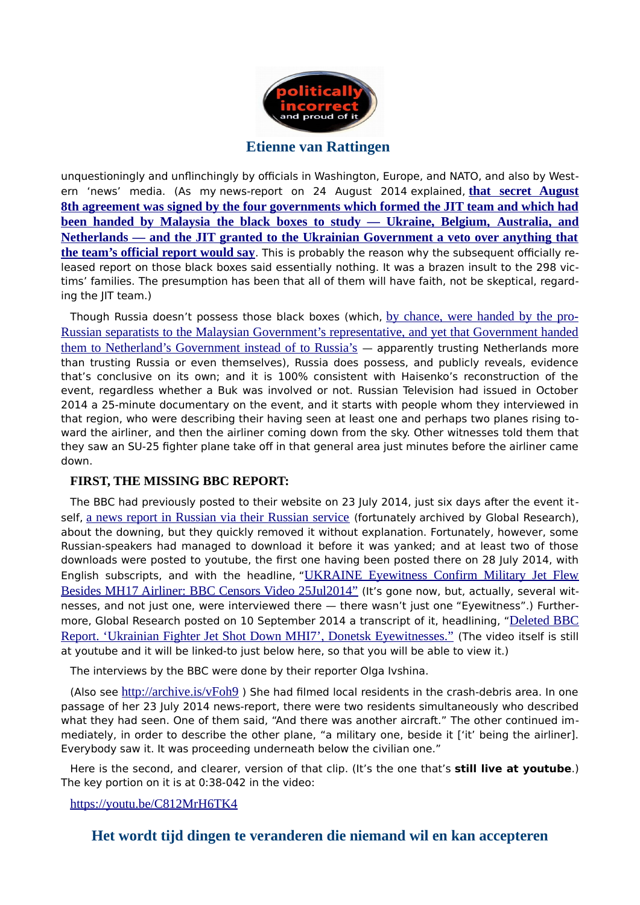

unquestioningly and unflinchingly by officials in Washington, Europe, and NATO, and also by Western 'news' media. (As my [news-report on 24 August 2014](http://web.archive.org/web/20180110155354/www.washingtonsblog.com/2014/08/mh-17-investigation-secret-august-8th-agreement-seeps.html) explained, **[that secret August](http://web.archive.org/web/20180110155354/www.washingtonsblog.com/2014/08/mh-17-investigation-secret-august-8th-agreement-seeps.html)  [8th agreement was signed by the four governments which formed the JIT team and which had](http://web.archive.org/web/20180110155354/www.washingtonsblog.com/2014/08/mh-17-investigation-secret-august-8th-agreement-seeps.html) been handed by Malaysia the black boxes to study — Ukraine, Belgium, Australia, and [Netherlands — and the JIT granted to the Ukrainian Government a veto over anything that](http://web.archive.org/web/20180110155354/www.washingtonsblog.com/2014/08/mh-17-investigation-secret-august-8th-agreement-seeps.html) [the team's official report would say](http://web.archive.org/web/20180110155354/www.washingtonsblog.com/2014/08/mh-17-investigation-secret-august-8th-agreement-seeps.html)**. This is probably the reason why the subsequent officially re[leased report on those black boxes](http://web.archive.org/web/20140909122747/www.onderzoeksraad.nl/uploads/phase-docs/701/b3923acad0ceprem-rapport-mh-17-en-interactief.pdf) said essentially nothing. It was a brazen insult to the 298 victims' families. The presumption has been that all of them will have faith, not be skeptical, regarding the JIT team.)

Though Russia doesn't possess those black boxes (which, [by chance, were handed by the pro-](http://www.whathappenedtoflightmh17.com/malaysia-pm-himself-managed-to-release-bodies-and-black-boxes-from-separatists/)[Russian separatists to the Malaysian Government's representative, and yet that Government handed](http://www.whathappenedtoflightmh17.com/malaysia-pm-himself-managed-to-release-bodies-and-black-boxes-from-separatists/) [them to Netherland's Government instead of to Russia's](http://www.whathappenedtoflightmh17.com/malaysia-pm-himself-managed-to-release-bodies-and-black-boxes-from-separatists/) — apparently trusting Netherlands more than trusting Russia or even themselves), Russia does possess, and publicly reveals, evidence that's conclusive on its own; and it is 100% consistent with Haisenko's reconstruction of the event, regardless whether a Buk was involved or not. Russian Television had issued in October 2014 a 25-minute documentary on the event, and it starts with people whom they interviewed in that region, who were describing their having seen at least one and perhaps two planes rising toward the airliner, and then the airliner coming down from the sky. Other witnesses told them that they saw an SU-25 fighter plane take off in that general area just minutes before the airliner came down.

#### **FIRST, THE MISSING BBC REPORT:**

The BBC had previously posted to their website on 23 July 2014, just six days after the event itself, [a news report in Russian via their Russian service](http://www.bbc.co.uk/russian/multimedia/2014/07/140722_v_mh17_buk_hunt.shtml) (fortunately [archived by Global Research\)](http://www.globalresearch.ca/deleted-bbc-report-ukrainian-fighter-jet-shot-down-mhi7-donetsk-eyewitnesses/5393631), about the downing, but they quickly removed it without explanation. Fortunately, however, some Russian-speakers had managed to download it before it was yanked; and at least two of those downloads were posted to youtube, the frst one having been posted there on 28 July 2014, with English subscripts, and with the headline, ["](http://www.youtube.com/watch?v=Sa_R2NA1txc)[UKRAINE Eyewitness Confirm Military Jet Flew](http://www.youtube.com/watch?v=Sa_R2NA1txc) [Besides MH17 Airliner: BBC Censors Video 25Jul2014"](http://www.youtube.com/watch?v=Sa_R2NA1txc) (It's gone now, but, actually, several witnesses, and not just one, were interviewed there — there wasn't just one "Eyewitness".) Furthermore, Global Research posted on 10 September 2014 a transcript of it, headlining, ["](http://www.globalresearch.ca/deleted-bbc-report-ukrainian-fighter-jet-shot-down-mhi7-donetsk-eyewitnesses/5393631)[Deleted BBC](http://www.globalresearch.ca/deleted-bbc-report-ukrainian-fighter-jet-shot-down-mhi7-donetsk-eyewitnesses/5393631) [Report. 'Ukrainian Fighter Jet Shot Down MHI7', Donetsk Eyewitnesses."](http://www.globalresearch.ca/deleted-bbc-report-ukrainian-fighter-jet-shot-down-mhi7-donetsk-eyewitnesses/5393631) (The video itself is still at youtube and it will be linked-to just below here, so that you will be able to view it.)

The interviews by the BBC were done by their reporter [Olga Ivshina.](http://www.bbc.com/news/world-europe-27358322)

(Also see <http://archive.is/vFoh9>) She had filmed local residents in the crash-debris area. In one passage of her 23 July 2014 news-report, there were two residents simultaneously who described what they had seen. One of them said, "And there was another aircraft." The other continued immediately, in order to describe the other plane, "a military one, beside it ['it' being the airliner]. Everybody saw it. It was proceeding underneath below the civilian one."

Here is the second, and clearer, version of that clip. (It's the one that's **still live at youtube**.) The key portion on it is at 0:38-042 in the video:

#### <https://youtu.be/C812MrH6TK4>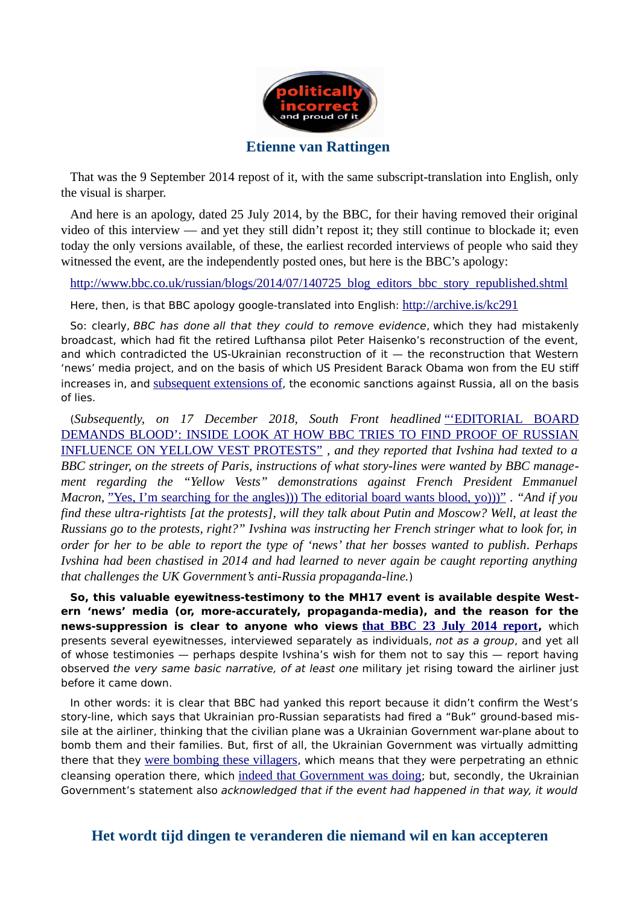

That was the 9 September 2014 repost of it, with the same subscript-translation into English, only the visual is sharper.

And here is an apology, dated 25 July 2014, by the BBC, for their having removed their original video of this interview — and yet they still didn't repost it; they still continue to blockade it; even today the only versions available, of these, the earliest recorded interviews of people who said they witnessed the event, are the independently posted ones, but here is the BBC's apology:

[http://www.bbc.co.uk/russian/blogs/2014/07/140725\\_blog\\_editors\\_bbc\\_story\\_republished.shtml](http://www.bbc.co.uk/russian/blogs/2014/07/140725_blog_editors_bbc_story_republished.shtml)

Here, then, is that BBC apology google-translated into English: <http://archive.is/kc291>

So: clearly, BBC has done all that they could to remove evidence, which they had mistakenly broadcast, which had ft the retired Lufthansa pilot Peter Haisenko's reconstruction of the event, and which contradicted the US-Ukrainian reconstruction of it — the reconstruction that Western 'news' media project, and on the basis of which US President Barack Obama won from the EU [stif](https://www.thelocal.de/20140720/europe-threatens-russia-with-sanctions-over-mh17-crash) [increases in,](https://www.thelocal.de/20140720/europe-threatens-russia-with-sanctions-over-mh17-crash) and [subsequent extensions of](https://www.rferl.org/a/eu-leaders-agree-extend-sanctions-russia-aggression-in-ukraine-mh17-statement/29326909.html), the economic sanctions against Russia, all on the basis of lies.

(*Subsequently, on 17 December 2018, South Front headlined* ["'EDITORIAL BOARD](http://archive.is/m5Cru) [DEMANDS BLOOD': INSIDE LOOK AT HOW BBC TRIES TO FIND PROOF OF RUSSIAN](http://archive.is/m5Cru) [INFLUENCE ON YELLOW VEST PROTESTS"](http://archive.is/m5Cru) *, and they reported that Ivshina had texted to a BBC stringer, on the streets of Paris, instructions of what story-lines were wanted by BBC management regarding the "Yellow Vests" demonstrations against French President Emmanuel Macron,* ["Yes, I'm searching for the angles\)\)\) The editorial board wants blood, yo\)\)\)"](https://www.rt.com/news/446604-russia-bbc-yellow-vests/) *. "And if you find these ultra-rightists [at the protests], will they talk about Putin and Moscow? Well, at least the Russians go to the protests, right?" Ivshina was instructing her French stringer what to look for, in order for her to be able to report the type of 'news' that her bosses wanted to publish. Perhaps Ivshina had been chastised in 2014 and had learned to never again be caught reporting anything that challenges the UK Government's anti-Russia propaganda-line.*)

**So, this valuable eyewitness-testimony to the MH17 event is available despite Western 'news' media (or, more-accurately, propaganda-media), and the reason for the news-suppression is clear to anyone who views [that BBC 23 July 2014 report](https://www.youtube.com/watch?v=C812MrH6TK4),** which presents several eyewitnesses, interviewed separately as individuals, not as a group, and yet all of whose testimonies — perhaps despite Ivshina's wish for them not to say this — report having observed the very same basic narrative, of at least one military jet rising toward the airliner just before it came down.

In other words: it is clear that BBC had yanked this report because it didn't confrm the West's story-line, which says that Ukrainian pro-Russian separatists had fred a "Buk" ground-based missile at the airliner, thinking that the civilian plane was a Ukrainian Government war-plane about to bomb them and their families. But, frst of all, the Ukrainian Government was virtually admitting there that they [were bombing these villagers](http://web.archive.org/web/20170706144622/https:/washingtonsblog.com/2014/07/obama-definitely-caused-malaysian-airliner-downed.html), which means that they were perpetrating an ethnic cleansing operation there, which [indeed that Government was doing](http://rinf.com/alt-news/editorials/enemies-ukraine-speak/); but, secondly, the Ukrainian Government's statement also acknowledged that if the event had happened in that way, it would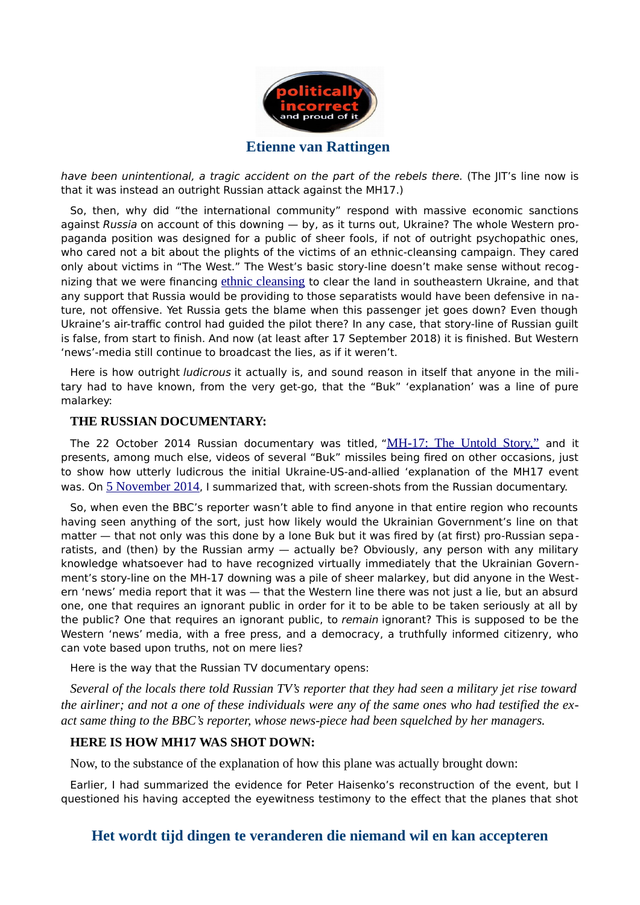

have been unintentional, a tragic accident on the part of the rebels there. (The JIT's line now is that it was instead an outright Russian attack against the MH17.)

So, then, why did "the international community" respond with massive economic sanctions against Russia on account of this downing - by, as it turns out, Ukraine? The whole Western propaganda position was designed for a public of sheer fools, if not of outright psychopathic ones, who cared not a bit about the plights of the victims of an [ethnic-cleansing campaign.](http://rinf.com/alt-news/editorials/obama-definitely-caused-malaysian-airliner-downed/) They cared only about victims in "The West." The West's basic story-line doesn't make sense without recognizing that we were financing [ethnic cleansing](http://web.archive.org/web/20181010114816/www.washingtonsblog.com/2014/06/ukraine-international-war-criminal-obama-putin-2.html) to clear the land in southeastern Ukraine, and that any support that Russia would be providing to those separatists would have been defensive in nature, not offensive. Yet Russia gets the blame when this passenger jet goes down? Even though Ukraine's air-traffic control had guided the pilot there? In any case, that story-line of Russian guilt is false, from start to finish. And now (at least after 17 September 2018) it is finished. But Western 'news'-media still continue to broadcast the lies, as if it weren't.

Here is how outright *ludicrous* it actually is, and sound reason in itself that anyone in the military had to have known, from the very get-go, that the "Buk" 'explanation' was a line of pure malarkey:

#### **THE RUSSIAN DOCUMENTARY:**

The 22 October 2014 Russian documentary was titled, ["](http://rt.com/shows/documentary/197540-mh-17-crash-ukraine/)[MH-17: The Untold Story,"](http://rt.com/shows/documentary/197540-mh-17-crash-ukraine/) and it presents, among much else, videos of several "Buk" missiles being fred on other occasions, just to show how utterly ludicrous the initial Ukraine-US-and-allied 'explanation of the MH17 event was. On [5 November 2014](http://web.archive.org/web/20160830111629/https:/washingtonsblog.com/2014/11/western-news-suppression-downing-mh-17-malaysian-jet.html), I summarized that, with screen-shots from the Russian documentary.

So, when even the BBC's reporter wasn't able to fnd anyone in that entire region who recounts having seen anything of the sort, just how likely would the Ukrainian Government's line on that matter — that not only was this done by a lone Buk but it was fired by (at first) pro-Russian separatists, and (then) by the Russian army - actually be? Obviously, any person with any military knowledge whatsoever had to have recognized virtually immediately that the Ukrainian Government's story-line on the MH-17 downing was a pile of sheer malarkey, but did anyone in the Western 'news' media report that it was - that the Western line there was not just a lie, but an absurd one, one that requires an ignorant public in order for it to be able to be taken seriously at all by the public? One that requires an ignorant public, to remain ignorant? This is supposed to be the Western 'news' media, with a free press, and a democracy, a truthfully informed citizenry, who can vote based upon truths, not on mere lies?

Here is the way that [the Russian TV documentary](http://rt.com/shows/documentary/197540-mh-17-crash-ukraine/) opens:

*Several of the locals there told Russian TV's reporter that they had seen a military jet rise toward the airliner; and not a one of these individuals were any of the same ones who had testified the exact same thing to the BBC's reporter, whose news-piece had been squelched by her managers.*

#### **HERE IS HOW MH17 WAS SHOT DOWN:**

Now, to the substance of the explanation of how this plane was actually brought down:

Earlier, I had summarized the evidence for Peter Haisenko's reconstruction of the event, but I questioned his having accepted the eyewitness testimony to the efect that the planes that shot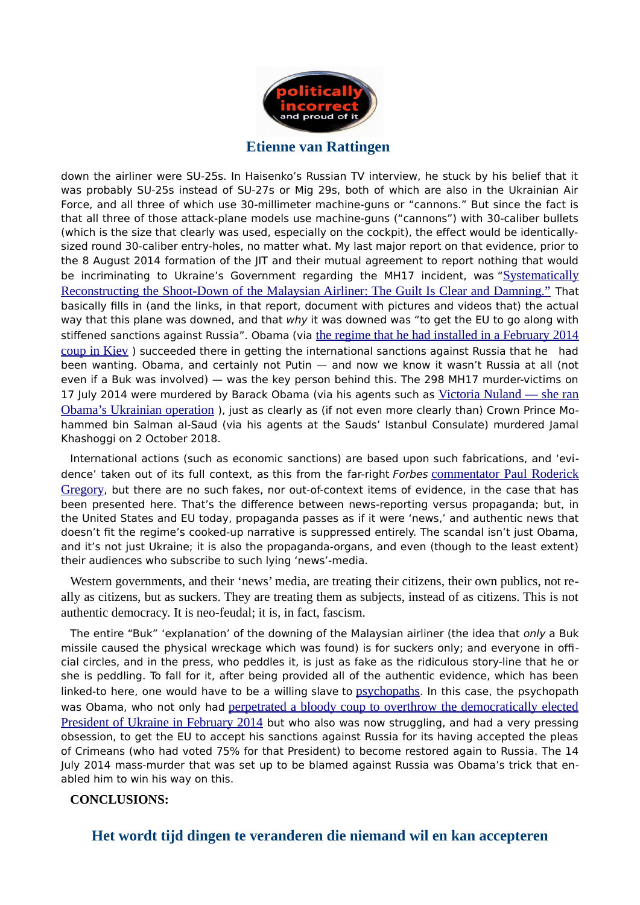

down the airliner were SU-25s. In Haisenko's Russian TV interview, he stuck by his belief that it was probably SU-25s instead of SU-27s or Mig 29s, both of which are also in the Ukrainian Air Force, and all three of which use 30-millimeter machine-guns or "cannons." But since the fact is that all three of those attack-plane models use machine-guns ("cannons") with 30-caliber bullets (which is the size that clearly was used, especially on the cockpit), the efect would be identicallysized round 30-caliber entry-holes, no matter what. My last major report on that evidence, prior to the 8 August 2014 formation of the JIT and their mutual agreement to report nothing that would be incriminating to Ukraine's Government regarding the MH17 incident, was ["](http://rinf.com/alt-news/editorials/systematically-reconstructing-shoot-malaysian-airliner-guilt-clear-damning/)[Systematically](http://rinf.com/alt-news/editorials/systematically-reconstructing-shoot-malaysian-airliner-guilt-clear-damning/) [Reconstructing the Shoot-Down of the Malaysian Airliner: The Guilt Is Clear and Damning."](http://rinf.com/alt-news/editorials/systematically-reconstructing-shoot-malaysian-airliner-guilt-clear-damning/) That basically flls in (and the links, in that report, document with pictures and videos that) the actual way that this plane was downed, and that why it was downed was "to get the EU to go along with stiffened sanctions against Russia". Obama (via [the regime that he had installed in a February 2014](https://www.youtube.com/watch?v=8-RyOaFwcEw) [coup in Kiev](https://www.youtube.com/watch?v=8-RyOaFwcEw) ) succeeded there in getting the international sanctions against Russia that he had been wanting. Obama, and certainly not Putin — and now we know it wasn't Russia at all (not even if a Buk was involved) — was the key person behind this. The 298 MH17 murder-victims on 17 July 2014 were murdered by Barack Obama (via his agents such as [Victoria Nuland — she ran](https://www.huffingtonpost.com/eric-zuesse/obama-sidelines-kerry-on-_b_7527342.html) [Obama's Ukrainian operation](https://www.huffingtonpost.com/eric-zuesse/obama-sidelines-kerry-on-_b_7527342.html) ), just as clearly as (if not even more clearly than) Crown Prince Mohammed bin Salman al-Saud (via his agents at the Sauds' Istanbul Consulate) murdered Jamal Khashoggi on 2 October 2018.

International actions (such as economic sanctions) are based upon such fabrications, and 'evidence' taken out of its full context, as [this from the far-right](http://www.forbes.com/sites/paulroderickgregory/2014/07/18/smoking-guns-russian-separatists-shot-down-malaysian-plane/) [Forbes](http://www.forbes.com/sites/paulroderickgregory/2014/07/18/smoking-guns-russian-separatists-shot-down-malaysian-plane/) [commentator Paul Roderick](http://www.forbes.com/sites/paulroderickgregory/2014/07/18/smoking-guns-russian-separatists-shot-down-malaysian-plane/) [Gregory](http://www.forbes.com/sites/paulroderickgregory/2014/07/18/smoking-guns-russian-separatists-shot-down-malaysian-plane/), but there are no such [fakes,](http://rt.com/news/173964-ukraine-malaysia-intercepted-calls/) nor out-of-context items of evidence, in the case that has been presented here. That's the diference between news-reporting versus propaganda; but, in the United States and EU today, propaganda passes as if it were 'news,' and authentic news that doesn't fit the regime's cooked-up narrative is suppressed entirely. The scandal isn't just Obama, and it's not just Ukraine; it is also the propaganda-organs, and even (though to the least extent) their audiences who subscribe to such lying 'news'-media.

Western governments, and their 'news' media, are treating their citizens, their own publics, not really as citizens, but as suckers. They are treating them as subjects, instead of as citizens. This is not authentic democracy. It is neo-feudal; it is, in fact, fascism.

The entire "Buk" 'explanation' of the downing of the Malaysian airliner (the idea that only a Buk missile caused the physical wreckage which was found) is for suckers only; and everyone in official circles, and in the press, who peddles it, is just as fake as the ridiculous story-line that he or she is peddling. To fall for it, after being provided all of the authentic evidence, which has been linked-to here, one would have to be a willing [slave](http://web.archive.org/web/20180619054930/www.washingtonsblog.com/2014/11/libya.html) to [psychopaths](https://www.youtube.com/watch?v=Ocih62dSJR8&list=TLsJbdENzhUjA). In this case, the psychopath was Obama, who not only had [perpetrated a bloody coup to overthrow the democratically elected](https://www.youtube.com/watch?v=8-RyOaFwcEw) [President of Ukraine in February 2014](https://www.youtube.com/watch?v=8-RyOaFwcEw) but who also was now struggling, and had a very pressing obsession, to get the EU to accept his sanctions against Russia for its having accepted the pleas of Crimeans (who had voted 75% for that President) to become restored again to Russia. The 14 July 2014 mass-murder that was set up to be blamed against Russia was Obama's trick that enabled him to win his way on this.

#### **CONCLUSIONS:**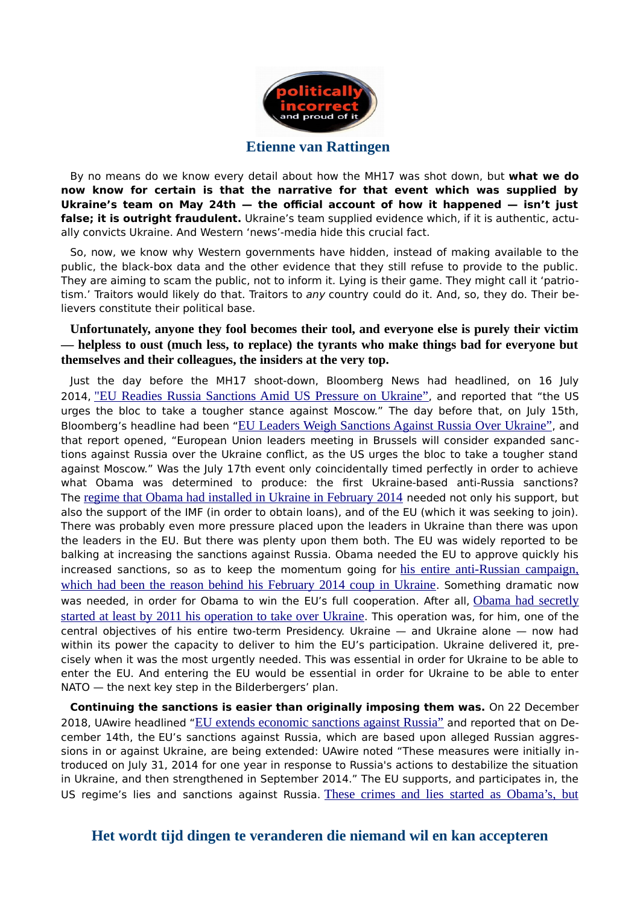

By no means do we know every detail about how the MH17 was shot down, but **what we do now know for certain is that the narrative for that event which was supplied by** Ukraine's team on May 24th – the official account of how it happened – isn't just **false; it is outright fraudulent.** Ukraine's team supplied evidence which, if it is authentic, actually convicts Ukraine. And Western 'news'-media hide this crucial fact.

So, now, we know why Western governments have hidden, instead of making available to the public, the black-box data and the other evidence that they still refuse to provide to the public. They are aiming to scam the public, not to inform it. Lying is their game. They might call it 'patriotism.' Traitors would likely do that. Traitors to any country could do it. And, so, they do. Their believers constitute their political base.

#### **Unfortunately, anyone they fool becomes their tool, and everyone else is purely their victim — helpless to oust (much less, to replace) the tyrants who make things bad for everyone but themselves and their colleagues, the insiders at the very top.**

Just the day before the MH17 shoot-down, Bloomberg News had headlined, on 16 July 2014, ["EU Readies Russia Sanctions Amid US Pressure on Ukraine"](http://archive.is/wJP80), and reported that "the US urges the bloc to take a tougher stance against Moscow." The day before that, on July 15th, Bloomberg's headline had been ["](http://web.archive.org/web/20140716065145/https:/www.bloomberg.com/news/2014-07-15/eu-leaders-weigh-sanctions-against-russia-over-ukraine.html)[EU Leaders Weigh Sanctions Against Russia Over Ukraine"](http://web.archive.org/web/20140716065145/https:/www.bloomberg.com/news/2014-07-15/eu-leaders-weigh-sanctions-against-russia-over-ukraine.html), and that report opened, "European Union leaders meeting in Brussels will consider expanded sanctions against Russia over the Ukraine confict, as the US urges the bloc to take a tougher stand against Moscow." Was the July 17th event only coincidentally timed perfectly in order to achieve what Obama was determined to produce: the frst Ukraine-based anti-Russia sanctions? The [regime that Obama had installed in Ukraine in February 2014](http://web.archive.org/web/20181010114816/http:/www.washingtonsblog.com/2014/06/ukraine-international-war-criminal-obama-putin-2.html) needed not only his support, but also the support of the IMF (in order to obtain loans), and of the EU (which it was seeking to join). There was probably even more pressure placed upon the leaders in Ukraine than there was upon the leaders in the EU. But there was plenty upon them both. The EU was widely reported to be balking at increasing the sanctions against Russia. Obama needed the EU to approve quickly his increased sanctions, so as to keep the momentum going for [his entire anti-Russian campaign,](https://www.globalresearch.ca/americas-secret-planned-conquest-of-russia/5565596) [which had been the reason behind his February 2014 coup in Ukraine](https://www.globalresearch.ca/americas-secret-planned-conquest-of-russia/5565596). Something dramatic now was needed, in order for Obama to win the EU's full cooperation. After all, [Obama had secretly](http://web.archive.org/web/20181212172608/https:/off-guardian.org/2017/03/24/what-americas-coup-in-ukraine-did/) [started at least by 2011 his operation to take over Ukraine](http://web.archive.org/web/20181212172608/https:/off-guardian.org/2017/03/24/what-americas-coup-in-ukraine-did/). This operation was, for him, one of the central objectives of his entire two-term Presidency. Ukraine — and Ukraine alone — now had within its power the capacity to deliver to him the EU's participation. Ukraine delivered it, precisely when it was the most urgently needed. This was essential in order for Ukraine to be able to enter the EU. And entering the EU would be essential in order for Ukraine to be able to enter NATO — the next key step in the Bilderbergers' plan.

**Continuing the sanctions is easier than originally imposing them was.** On 22 December 2018, UAwire headlined ["](https://www.uawire.org/eu-extends-economic-sanctions-against-russia)[EU extends economic sanctions against Russia"](https://www.uawire.org/eu-extends-economic-sanctions-against-russia) and reported that on December 14th, the [EU's sanctions against Russia,](https://www.strategic-culture.org/news/2018/12/14/us-demands-europe-to-join-its-war-against-russia.html) which are based upon alleged Russian aggressions in or against Ukraine, are being extended: UAwire noted "These measures were initially introduced on July 31, 2014 for one year in response to Russia's actions to destabilize the situation in Ukraine, and then strengthened in September 2014." The EU supports, and participates in, the US regime's lies and sanctions against Russia. [These crimes and lies started as Obama's, but](http://rinf.com/alt-news/editorials/entire-case-sanctions-russia-pure-lies/)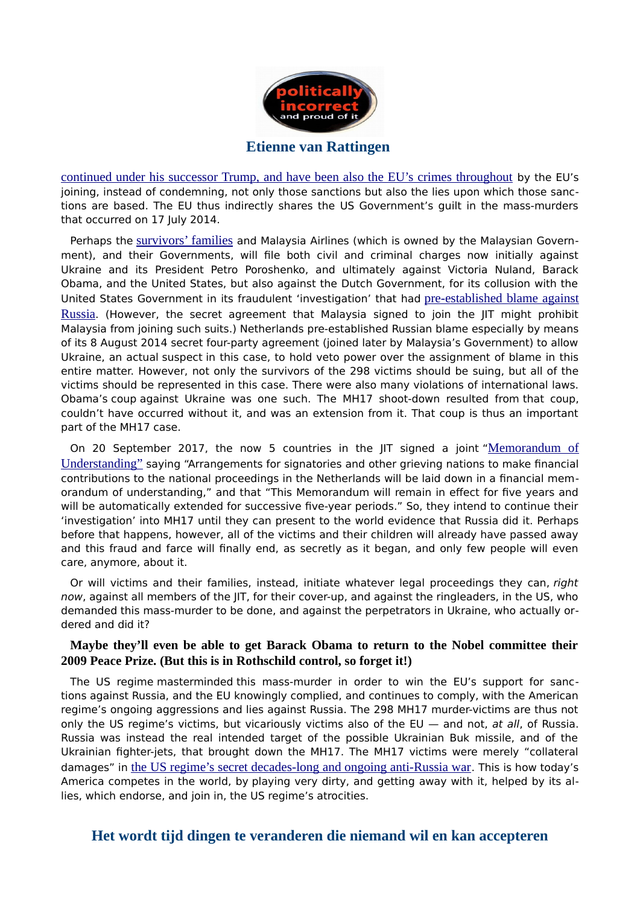

[continued under his successor Trump, and have been also the EU's crimes throughout](http://rinf.com/alt-news/editorials/entire-case-sanctions-russia-pure-lies/) by the EU's joining, instead of condemning, not only those sanctions but also [the lies upon which those sanc](https://theduran.com/all-u-s-govt-accusations-against-russias-govt-are-lies/)[tions are based.](https://theduran.com/all-u-s-govt-accusations-against-russias-govt-are-lies/) The EU thus indirectly shares the US Government's guilt in the mass-murders that occurred on 17 July 2014.

Perhaps the [survivors' families](https://www.insurancebusinessmag.com/us/news/breaking-news/authorities-rule-on-cause-of-mh17-crash-complicating-insurance-coverage-25753.aspx) and Malaysia Airlines (which is owned by the Malaysian Government), and their Governments, will fle both civil and criminal charges now initially against Ukraine and its President Petro Poroshenko, and ultimately against Victoria Nuland, Barack Obama, and the United States, but also against the Dutch Government, for its collusion with the United States Government in its fraudulent 'investigation' that had [pre-established blame against](https://www.insurancebusinessmag.com/us/news/breaking-news/shocking-mh17-reports-could-complicate-insurance-coverage-38420.aspx) [Russia](https://www.insurancebusinessmag.com/us/news/breaking-news/shocking-mh17-reports-could-complicate-insurance-coverage-38420.aspx). (However, the secret agreement that Malaysia signed to join the JIT might prohibit Malaysia from joining such suits.) Netherlands pre-established Russian blame especially by means of its 8 August 2014 secret four-party agreement (joined later by Malaysia's Government) to allow Ukraine, an actual suspect in this case, to hold veto power over the assignment of blame in this entire matter. However, not only the survivors of the 298 victims should be suing, but all of the victims should be represented in this case. There were also many violations of international laws. Obama's [coup](http://rinf.com/alt-news/editorials/head-stratfor-private-cia-says-overthrow-yanukovych-blatant-coup-history/) against Ukraine was one such. The MH17 shoot-down resulted from [that coup,](https://www.greanvillepost.com/2017/11/28/snipers-at-ukraines-maidan-confess-to-shooting-both-sides-in-italian-report-ignored-by-msm/) couldn't have occurred without it, and was an extension from it. That coup is thus an important part of the MH17 case.

On 20 September 2017, the now 5 countries in the  $\text{J}$  IT signed a joint ["](http://archive.is/08s4H)[Memorandum of](http://archive.is/08s4H) [Understanding"](http://archive.is/08s4H) saying "Arrangements for signatories and other grieving nations to make fnancial contributions to the national proceedings in the Netherlands will be laid down in a fnancial memorandum of understanding," and that "This Memorandum will remain in efect for fve years and will be automatically extended for successive five-year periods." So, they intend to continue their 'investigation' into MH17 until they can present to the world evidence that Russia did it. Perhaps before that happens, however, all of the victims and their children will already have passed away and this fraud and farce will fnally end, as secretly as it began, and only few people will even care, anymore, about it.

Or will victims and their families, instead, initiate whatever legal proceedings they can, right now, against all members of the IIT, for their cover-up, and against the ringleaders, in the US, who demanded this mass-murder to be done, and against the perpetrators in Ukraine, who actually ordered and did it?

#### **Maybe they'll even be able to get Barack Obama to return to the Nobel committee their 2009 Peace Prize. (But this is in Rothschild control, so forget it!)**

The US regime [masterminded](http://web.archive.org/web/20181212172608/https:/off-guardian.org/2017/03/24/what-americas-coup-in-ukraine-did/) this mass-murder in order to win the EU's support for sanctions [against Russia,](https://off-guardian.org/2018/10/06/us-switching-to-ukraine-as-location-to-start-world-war-iii/) and [the EU knowingly complied,](http://archive.is/dYFxJ) and continues to comply, with the American regime's ongoing aggressions and lies against Russia. The 298 MH17 murder-victims are thus not only the US regime's victims, but vicariously victims also of the EU  $-$  and not, at all, of Russia. Russia was instead the real intended target of the possible Ukrainian Buk missile, and of the Ukrainian fghter-jets, that brought down the MH17. The MH17 victims were merely "collateral damages" in [the US regime's secret decades-long and ongoing anti-Russia war](http://rinf.com/alt-news/editorials/how-america-double-crossed-russia-and-shamed-the-west/). This is how today's America competes in the world, by [playing very dirty, and getting away with it, helped by its al](https://theduran.com/all-sanctions-against-russia-are-based-on-lies/)[lies, which endorse, and join in, the US regime's atrocities.](https://theduran.com/all-sanctions-against-russia-are-based-on-lies/)